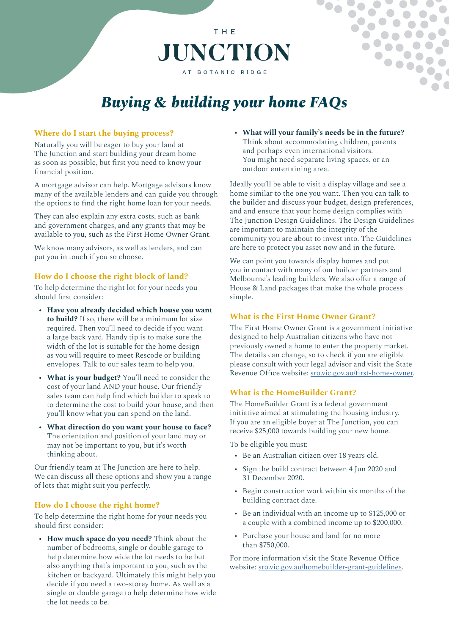# *Buying & building your home FAQs*

T H F

**JUNCTION** 

AT BOTANIC RIDGE

# **Where do I start the buying process?**

Naturally you will be eager to buy your land at The Junction and start building your dream home as soon as possible, but first you need to know your financial position.

A mortgage advisor can help. Mortgage advisors know many of the available lenders and can guide you through the options to find the right home loan for your needs.

They can also explain any extra costs, such as bank and government charges, and any grants that may be available to you, such as the First Home Owner Grant.

We know many advisors, as well as lenders, and can put you in touch if you so choose.

## **How do I choose the right block of land?**

To help determine the right lot for your needs you should first consider:

- **• Have you already decided which house you want to build?** If so, there will be a minimum lot size required. Then you'll need to decide if you want a large back yard. Handy tip is to make sure the width of the lot is suitable for the home design as you will require to meet Rescode or building envelopes. Talk to our sales team to help you.
- **• What is your budget?** You'll need to consider the cost of your land AND your house. Our friendly sales team can help find which builder to speak to to determine the cost to build your house, and then you'll know what you can spend on the land.
- **• What direction do you want your house to face?** The orientation and position of your land may or may not be important to you, but it's worth thinking about.

Our friendly team at The Junction are here to help. We can discuss all these options and show you a range of lots that might suit you perfectly.

## **How do I choose the right home?**

To help determine the right home for your needs you should first consider:

**• How much space do you need?** Think about the number of bedrooms, single or double garage to help determine how wide the lot needs to be but also anything that's important to you, such as the kitchen or backyard. Ultimately this might help you decide if you need a two-storey home. As well as a single or double garage to help determine how wide the lot needs to be.

**• What will your family's needs be in the future?** Think about accommodating children, parents and perhaps even international visitors. You might need separate living spaces, or an outdoor entertaining area.

Ideally you'll be able to visit a display village and see a home similar to the one you want. Then you can talk to the builder and discuss your budget, design preferences, and and ensure that your home design complies with The Junction Design Guidelines. The Design Guidelines are important to maintain the integrity of the community you are about to invest into. The Guidelines are here to protect you asset now and in the future.

We can point you towards display homes and put you in contact with many of our builder partners and Melbourne's leading builders. We also offer a range of House & Land packages that make the whole process simple.

#### **What is the First Home Owner Grant?**

The First Home Owner Grant is a government initiative designed to help Australian citizens who have not previously owned a home to enter the property market. The details can change, so to check if you are eligible please consult with your legal advisor and visit the State Revenue Office website: [sro.vic.gov.au/first-home-owner.](http://sro.vic.gov.au/first-home-owner)

## **What is the HomeBuilder Grant?**

The HomeBuilder Grant is a federal government initiative aimed at stimulating the housing industry. If you are an eligible buyer at The Junction, you can receive \$25,000 towards building your new home.

To be eligible you must:

- Be an Australian citizen over 18 years old.
- Sign the build contract between 4 Jun 2020 and 31 December 2020.
- Begin construction work within six months of the building contract date.
- Be an individual with an income up to \$125,000 or a couple with a combined income up to \$200,000.
- Purchase your house and land for no more than \$750,000.

For more information visit the State Revenue Office website: [sro.vic.gov.au/homebuilder-grant-guidelines.](http://sro.vic.gov.au/homebuilder-grant-guidelines)